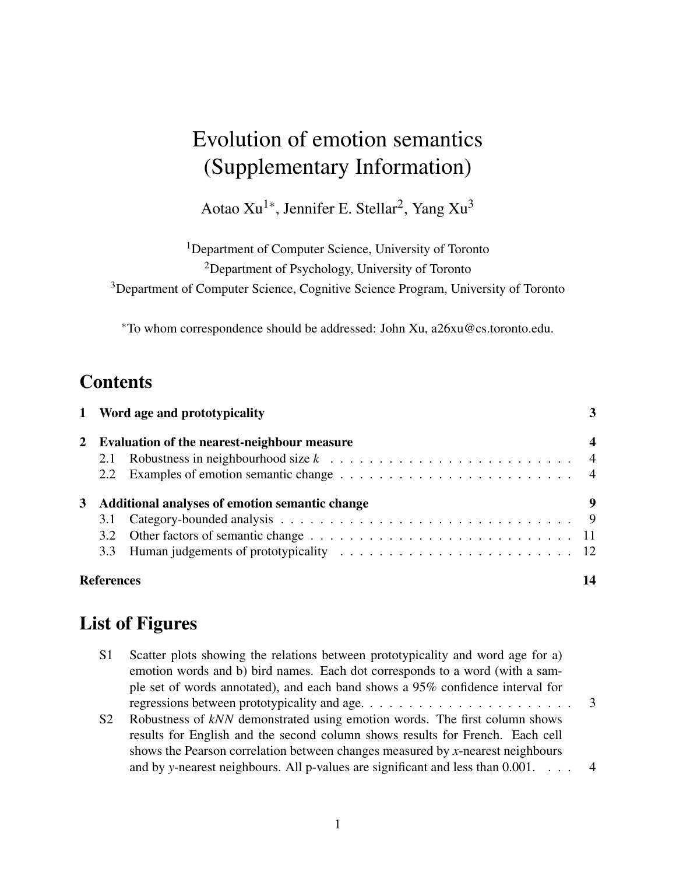# Evolution of emotion semantics (Supplementary Information)

Aotao Xu<sup>1∗</sup>, Jennifer E. Stellar<sup>2</sup>, Yang Xu<sup>3</sup>

<sup>1</sup>Department of Computer Science, University of Toronto <sup>2</sup>Department of Psychology, University of Toronto

<sup>3</sup>Department of Computer Science, Cognitive Science Program, University of Toronto

<sup>∗</sup>To whom correspondence should be addressed: John Xu, a26xu@cs.toronto.edu.

# **Contents**

|             |                                                | 1 Word age and prototypicality |    |  |
|-------------|------------------------------------------------|--------------------------------|----|--|
| $2^{\circ}$ | Evaluation of the nearest-neighbour measure    |                                |    |  |
|             |                                                |                                |    |  |
|             |                                                |                                |    |  |
|             | Additional analyses of emotion semantic change |                                |    |  |
|             | 3.1                                            |                                |    |  |
|             |                                                |                                |    |  |
|             |                                                |                                |    |  |
|             | <b>References</b>                              |                                | 14 |  |

# List of Figures

| S1             | Scatter plots showing the relations between prototypicality and word age for a)<br>emotion words and b) bird names. Each dot corresponds to a word (with a sam-<br>ple set of words annotated), and each band shows a 95% confidence interval for |  |
|----------------|---------------------------------------------------------------------------------------------------------------------------------------------------------------------------------------------------------------------------------------------------|--|
|                |                                                                                                                                                                                                                                                   |  |
| S <sub>2</sub> | Robustness of kNN demonstrated using emotion words. The first column shows                                                                                                                                                                        |  |
|                | results for English and the second column shows results for French. Each cell                                                                                                                                                                     |  |
|                | shows the Pearson correlation between changes measured by x-nearest neighbours                                                                                                                                                                    |  |
|                | and by y-nearest neighbours. All p-values are significant and less than $0.001$ . 4                                                                                                                                                               |  |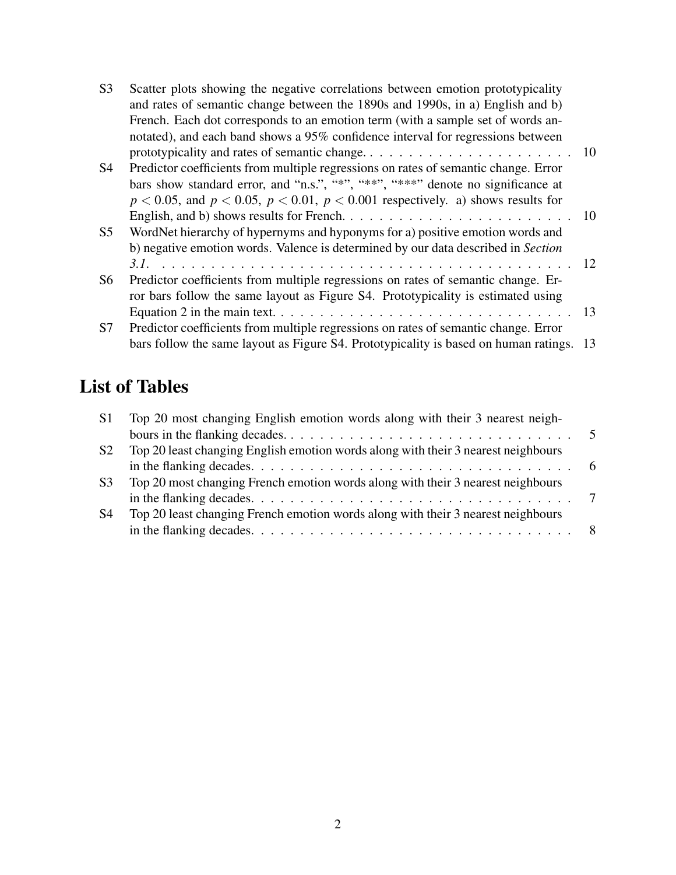| S <sub>3</sub> | Scatter plots showing the negative correlations between emotion prototypicality<br>and rates of semantic change between the 1890s and 1990s, in a) English and b) |    |
|----------------|-------------------------------------------------------------------------------------------------------------------------------------------------------------------|----|
|                | French. Each dot corresponds to an emotion term (with a sample set of words an-                                                                                   |    |
|                | notated), and each band shows a 95% confidence interval for regressions between                                                                                   |    |
|                |                                                                                                                                                                   |    |
| S <sub>4</sub> | Predictor coefficients from multiple regressions on rates of semantic change. Error                                                                               |    |
|                | bars show standard error, and "n.s.", "**", "***", "***" denote no significance at                                                                                |    |
|                | $p < 0.05$ , and $p < 0.05$ , $p < 0.01$ , $p < 0.001$ respectively. a) shows results for                                                                         |    |
|                |                                                                                                                                                                   |    |
| S <sub>5</sub> | WordNet hierarchy of hypernyms and hyponyms for a) positive emotion words and                                                                                     |    |
|                | b) negative emotion words. Valence is determined by our data described in Section                                                                                 |    |
|                |                                                                                                                                                                   |    |
| S6             | Predictor coefficients from multiple regressions on rates of semantic change. Er-                                                                                 |    |
|                | ror bars follow the same layout as Figure S4. Prototypicality is estimated using                                                                                  |    |
|                |                                                                                                                                                                   | 13 |
| S7             | Predictor coefficients from multiple regressions on rates of semantic change. Error                                                                               |    |
|                | bars follow the same layout as Figure S4. Prototypicality is based on human ratings. 13                                                                           |    |

# List of Tables

| S1             | Top 20 most changing English emotion words along with their 3 nearest neigh-      |  |
|----------------|-----------------------------------------------------------------------------------|--|
|                |                                                                                   |  |
| S <sub>2</sub> | Top 20 least changing English emotion words along with their 3 nearest neighbours |  |
|                |                                                                                   |  |
| S <sub>3</sub> | Top 20 most changing French emotion words along with their 3 nearest neighbours   |  |
|                |                                                                                   |  |
| S <sub>4</sub> | Top 20 least changing French emotion words along with their 3 nearest neighbours  |  |
|                |                                                                                   |  |
|                |                                                                                   |  |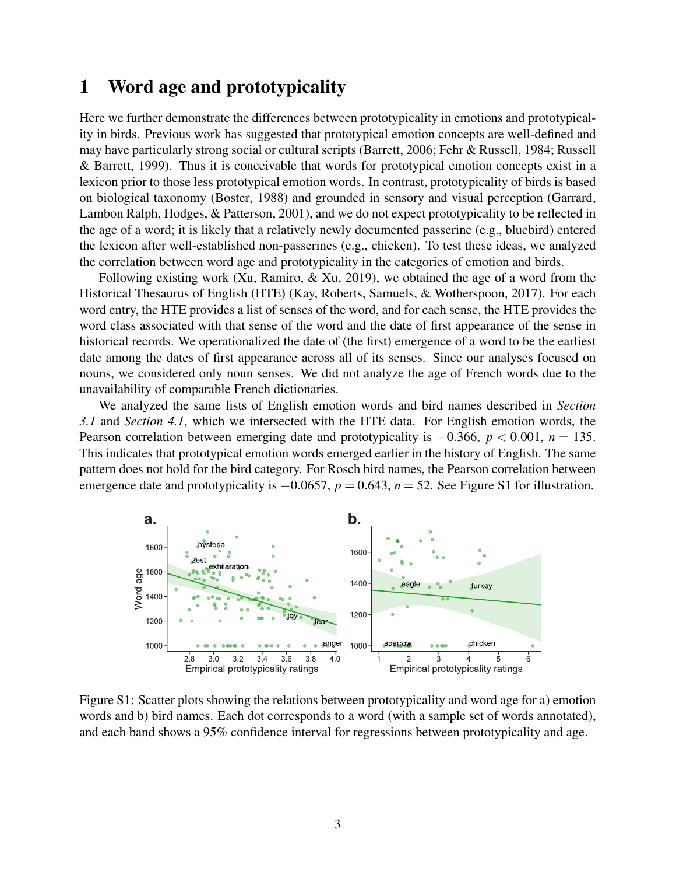# 1 Word age and prototypicality

Here we further demonstrate the differences between prototypicality in emotions and prototypicality in birds. Previous work has suggested that prototypical emotion concepts are well-defined and may have particularly strong social or cultural scripts (Barrett, 2006; Fehr & Russell, 1984; Russell & Barrett, 1999). Thus it is conceivable that words for prototypical emotion concepts exist in a lexicon prior to those less prototypical emotion words. In contrast, prototypicality of birds is based on biological taxonomy (Boster, 1988) and grounded in sensory and visual perception (Garrard, Lambon Ralph, Hodges, & Patterson, 2001), and we do not expect prototypicality to be reflected in the age of a word; it is likely that a relatively newly documented passerine (e.g., bluebird) entered the lexicon after well-established non-passerines (e.g., chicken). To test these ideas, we analyzed the correlation between word age and prototypicality in the categories of emotion and birds.

Following existing work (Xu, Ramiro,  $\&$  Xu, 2019), we obtained the age of a word from the Historical Thesaurus of English (HTE) (Kay, Roberts, Samuels, & Wotherspoon, 2017). For each word entry, the HTE provides a list of senses of the word, and for each sense, the HTE provides the word class associated with that sense of the word and the date of first appearance of the sense in historical records. We operationalized the date of (the first) emergence of a word to be the earliest date among the dates of first appearance across all of its senses. Since our analyses focused on nouns, we considered only noun senses. We did not analyze the age of French words due to the unavailability of comparable French dictionaries.

We analyzed the same lists of English emotion words and bird names described in *Section 3.1* and *Section 4.1*, which we intersected with the HTE data. For English emotion words, the Pearson correlation between emerging date and prototypicality is −0.366, *p* < 0.001, *n* = 135. This indicates that prototypical emotion words emerged earlier in the history of English. The same pattern does not hold for the bird category. For Rosch bird names, the Pearson correlation between emergence date and prototypicality is −0.0657, *p* = 0.643, *n* = 52. See Figure S1 for illustration.



Figure S1: Scatter plots showing the relations between prototypicality and word age for a) emotion words and b) bird names. Each dot corresponds to a word (with a sample set of words annotated), and each band shows a 95% confidence interval for regressions between prototypicality and age.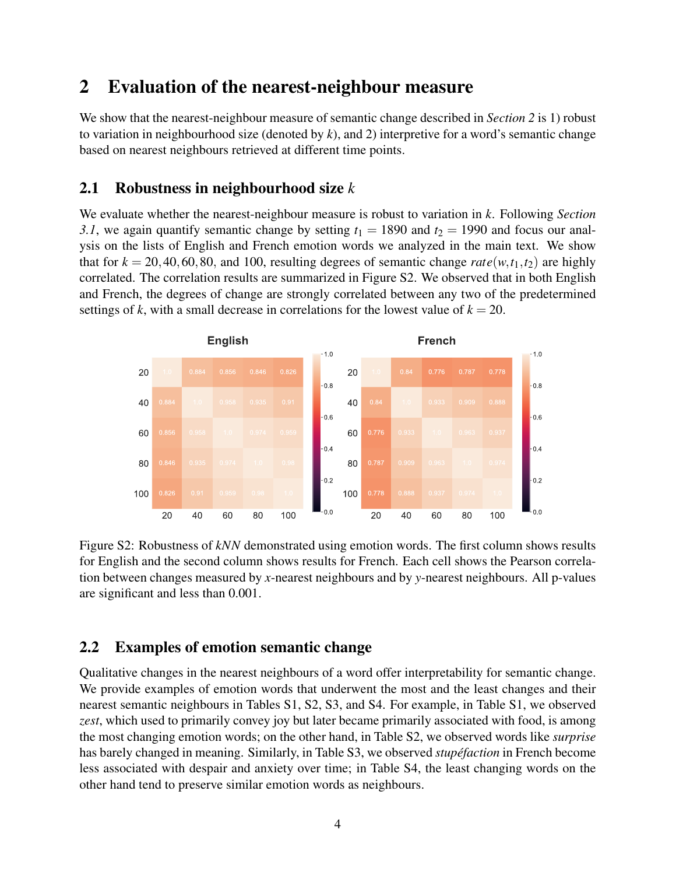## 2 Evaluation of the nearest-neighbour measure

We show that the nearest-neighbour measure of semantic change described in *Section 2* is 1) robust to variation in neighbourhood size (denoted by *k*), and 2) interpretive for a word's semantic change based on nearest neighbours retrieved at different time points.

#### 2.1 Robustness in neighbourhood size *k*

We evaluate whether the nearest-neighbour measure is robust to variation in *k*. Following *Section* 3.1, we again quantify semantic change by setting  $t_1 = 1890$  and  $t_2 = 1990$  and focus our analysis on the lists of English and French emotion words we analyzed in the main text. We show that for  $k = 20, 40, 60, 80$ , and 100, resulting degrees of semantic change *rate*(*w*,*t*<sub>1</sub>,*t*<sub>2</sub>) are highly correlated. The correlation results are summarized in Figure S2. We observed that in both English and French, the degrees of change are strongly correlated between any two of the predetermined settings of *k*, with a small decrease in correlations for the lowest value of  $k = 20$ .



Figure S2: Robustness of *kNN* demonstrated using emotion words. The first column shows results for English and the second column shows results for French. Each cell shows the Pearson correlation between changes measured by *x*-nearest neighbours and by *y*-nearest neighbours. All p-values are significant and less than 0.001.

#### 2.2 Examples of emotion semantic change

Qualitative changes in the nearest neighbours of a word offer interpretability for semantic change. We provide examples of emotion words that underwent the most and the least changes and their nearest semantic neighbours in Tables S1, S2, S3, and S4. For example, in Table S1, we observed *zest*, which used to primarily convey joy but later became primarily associated with food, is among the most changing emotion words; on the other hand, in Table S2, we observed words like *surprise* has barely changed in meaning. Similarly, in Table S3, we observed *stupéfaction* in French become less associated with despair and anxiety over time; in Table S4, the least changing words on the other hand tend to preserve similar emotion words as neighbours.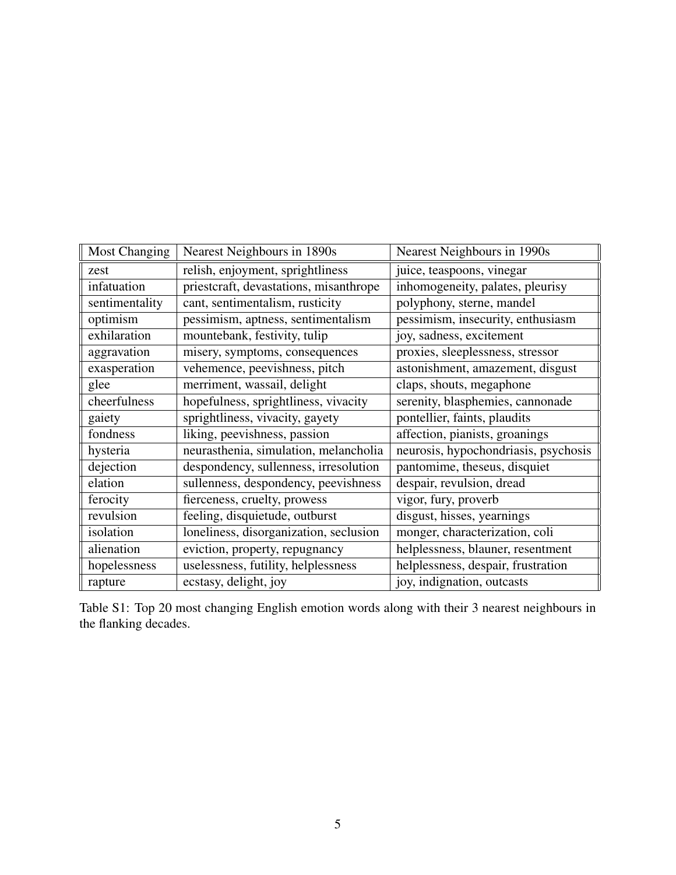| <b>Most Changing</b> | Nearest Neighbours in 1890s            | Nearest Neighbours in 1990s          |
|----------------------|----------------------------------------|--------------------------------------|
| zest                 | relish, enjoyment, sprightliness       | juice, teaspoons, vinegar            |
| infatuation          | priestcraft, devastations, misanthrope | inhomogeneity, palates, pleurisy     |
| sentimentality       | cant, sentimentalism, rusticity        | polyphony, sterne, mandel            |
| optimism             | pessimism, aptness, sentimentalism     | pessimism, insecurity, enthusiasm    |
| exhilaration         | mountebank, festivity, tulip           | joy, sadness, excitement             |
| aggravation          | misery, symptoms, consequences         | proxies, sleeplessness, stressor     |
| exasperation         | vehemence, peevishness, pitch          | astonishment, amazement, disgust     |
| glee                 | merriment, wassail, delight            | claps, shouts, megaphone             |
| cheerfulness         | hopefulness, sprightliness, vivacity   | serenity, blasphemies, cannonade     |
| gaiety               | sprightliness, vivacity, gayety        | pontellier, faints, plaudits         |
| fondness             | liking, peevishness, passion           | affection, pianists, groanings       |
| hysteria             | neurasthenia, simulation, melancholia  | neurosis, hypochondriasis, psychosis |
| dejection            | despondency, sullenness, irresolution  | pantomime, theseus, disquiet         |
| elation              | sullenness, despondency, peevishness   | despair, revulsion, dread            |
| ferocity             | fierceness, cruelty, prowess           | vigor, fury, proverb                 |
| revulsion            | feeling, disquietude, outburst         | disgust, hisses, yearnings           |
| isolation            | loneliness, disorganization, seclusion | monger, characterization, coli       |
| alienation           | eviction, property, repugnancy         | helplessness, blauner, resentment    |
| hopelessness         | uselessness, futility, helplessness    | helplessness, despair, frustration   |
| rapture              | ecstasy, delight, joy                  | joy, indignation, outcasts           |

Table S1: Top 20 most changing English emotion words along with their 3 nearest neighbours in the flanking decades.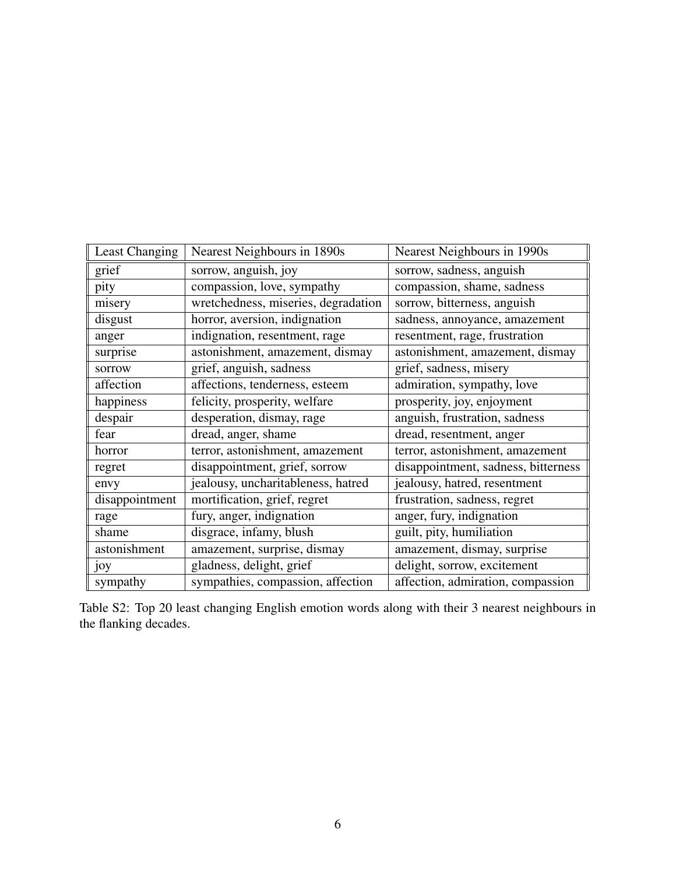| Least Changing | Nearest Neighbours in 1890s         | Nearest Neighbours in 1990s         |
|----------------|-------------------------------------|-------------------------------------|
| grief          | sorrow, anguish, joy                | sorrow, sadness, anguish            |
| pity           | compassion, love, sympathy          | compassion, shame, sadness          |
| misery         | wretchedness, miseries, degradation | sorrow, bitterness, anguish         |
| disgust        | horror, aversion, indignation       | sadness, annoyance, amazement       |
| anger          | indignation, resentment, rage       | resentment, rage, frustration       |
| surprise       | astonishment, amazement, dismay     | astonishment, amazement, dismay     |
| sorrow         | grief, anguish, sadness             | grief, sadness, misery              |
| affection      | affections, tenderness, esteem      | admiration, sympathy, love          |
| happiness      | felicity, prosperity, welfare       | prosperity, joy, enjoyment          |
| despair        | desperation, dismay, rage           | anguish, frustration, sadness       |
| fear           | dread, anger, shame                 | dread, resentment, anger            |
| horror         | terror, astonishment, amazement     | terror, astonishment, amazement     |
| regret         | disappointment, grief, sorrow       | disappointment, sadness, bitterness |
| envy           | jealousy, uncharitableness, hatred  | jealousy, hatred, resentment        |
| disappointment | mortification, grief, regret        | frustration, sadness, regret        |
| rage           | fury, anger, indignation            | anger, fury, indignation            |
| shame          | disgrace, infamy, blush             | guilt, pity, humiliation            |
| astonishment   | amazement, surprise, dismay         | amazement, dismay, surprise         |
| joy            | gladness, delight, grief            | delight, sorrow, excitement         |
| sympathy       | sympathies, compassion, affection   | affection, admiration, compassion   |

Table S2: Top 20 least changing English emotion words along with their 3 nearest neighbours in the flanking decades.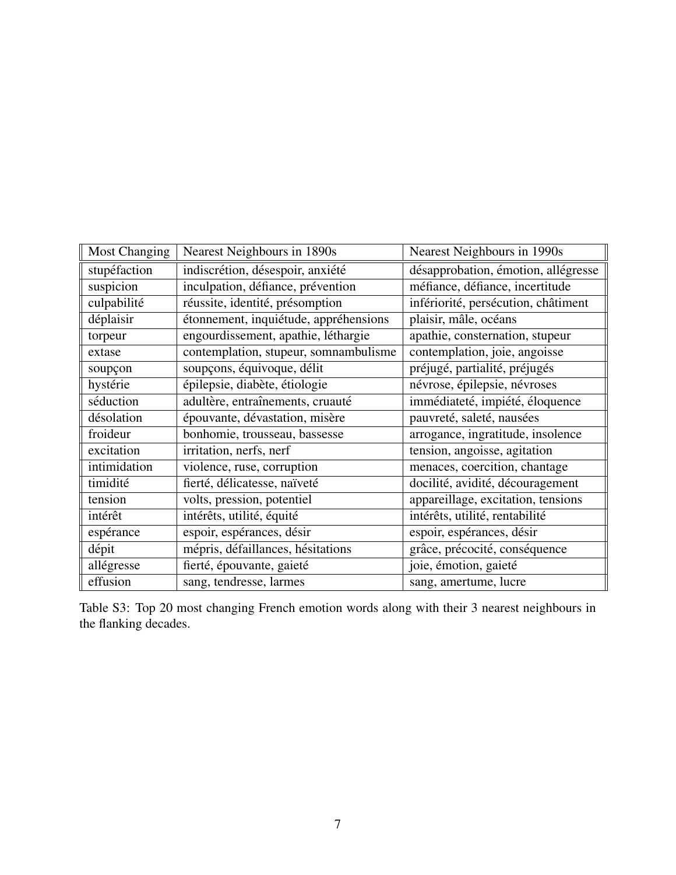| <b>Most Changing</b> | Nearest Neighbours in 1890s           | Nearest Neighbours in 1990s         |
|----------------------|---------------------------------------|-------------------------------------|
| stupéfaction         | indiscrétion, désespoir, anxiété      | désapprobation, émotion, allégresse |
| suspicion            | inculpation, défiance, prévention     | méfiance, défiance, incertitude     |
| culpabilité          | réussite, identité, présomption       | infériorité, persécution, châtiment |
| déplaisir            | étonnement, inquiétude, appréhensions | plaisir, mâle, océans               |
| torpeur              | engourdissement, apathie, léthargie   | apathie, consternation, stupeur     |
| extase               | contemplation, stupeur, somnambulisme | contemplation, joie, angoisse       |
| soupçon              | soupçons, équivoque, délit            | préjugé, partialité, préjugés       |
| hystérie             | épilepsie, diabète, étiologie         | névrose, épilepsie, névroses        |
| séduction            | adultère, entraînements, cruauté      | immédiateté, impiété, éloquence     |
| désolation           | épouvante, dévastation, misère        | pauvreté, saleté, nausées           |
| froideur             | bonhomie, trousseau, bassesse         | arrogance, ingratitude, insolence   |
| excitation           | irritation, nerfs, nerf               | tension, angoisse, agitation        |
| intimidation         | violence, ruse, corruption            | menaces, coercition, chantage       |
| timidité             | fierté, délicatesse, naïveté          | docilité, avidité, découragement    |
| tension              | volts, pression, potentiel            | appareillage, excitation, tensions  |
| intérêt              | intérêts, utilité, équité             | intérêts, utilité, rentabilité      |
| espérance            | espoir, espérances, désir             | espoir, espérances, désir           |
| dépit                | mépris, défaillances, hésitations     | grâce, précocité, conséquence       |
| allégresse           | fierté, épouvante, gaieté             | joie, émotion, gaieté               |
| effusion             | sang, tendresse, larmes               | sang, amertume, lucre               |

Table S3: Top 20 most changing French emotion words along with their 3 nearest neighbours in the flanking decades.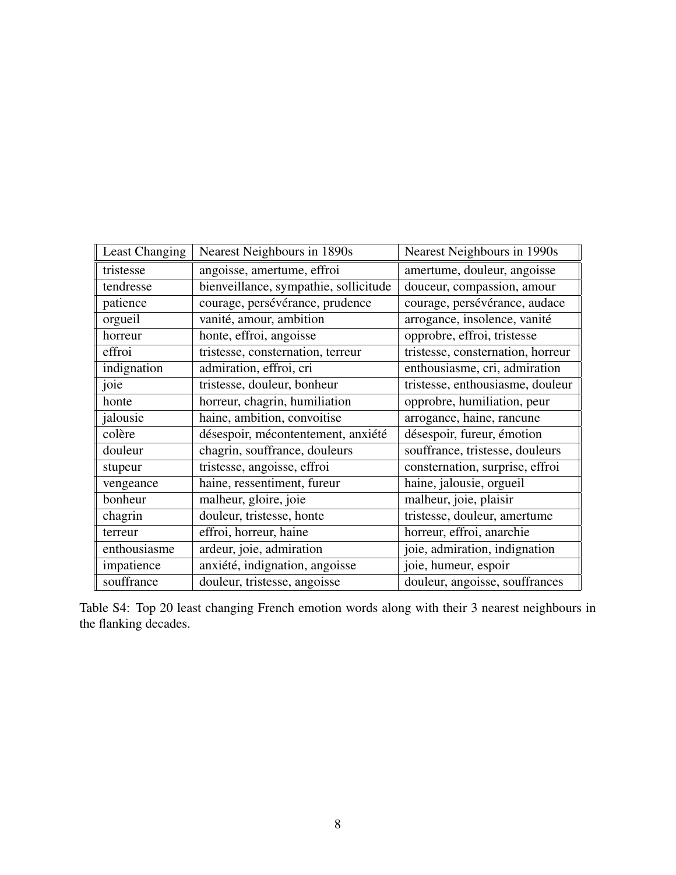| <b>Least Changing</b> | Nearest Neighbours in 1890s           | Nearest Neighbours in 1990s       |
|-----------------------|---------------------------------------|-----------------------------------|
| tristesse             | angoisse, amertume, effroi            | amertume, douleur, angoisse       |
| tendresse             | bienveillance, sympathie, sollicitude | douceur, compassion, amour        |
| patience              | courage, persévérance, prudence       | courage, persévérance, audace     |
| orgueil               | vanité, amour, ambition               | arrogance, insolence, vanité      |
| horreur               | honte, effroi, angoisse               | opprobre, effroi, tristesse       |
| effroi                | tristesse, consternation, terreur     | tristesse, consternation, horreur |
| indignation           | admiration, effroi, cri               | enthousiasme, cri, admiration     |
| joie                  | tristesse, douleur, bonheur           | tristesse, enthousiasme, douleur  |
| honte                 | horreur, chagrin, humiliation         | opprobre, humiliation, peur       |
| jalousie              | haine, ambition, convoitise           | arrogance, haine, rancune         |
| colère                | désespoir, mécontentement, anxiété    | désespoir, fureur, émotion        |
| douleur               | chagrin, souffrance, douleurs         | souffrance, tristesse, douleurs   |
| stupeur               | tristesse, angoisse, effroi           | consternation, surprise, effroi   |
| vengeance             | haine, ressentiment, fureur           | haine, jalousie, orgueil          |
| bonheur               | malheur, gloire, joie                 | malheur, joie, plaisir            |
| chagrin               | douleur, tristesse, honte             | tristesse, douleur, amertume      |
| terreur               | effroi, horreur, haine                | horreur, effroi, anarchie         |
| enthousiasme          | ardeur, joie, admiration              | joie, admiration, indignation     |
| impatience            | anxiété, indignation, angoisse        | joie, humeur, espoir              |
| souffrance            | douleur, tristesse, angoisse          | douleur, angoisse, souffrances    |

Table S4: Top 20 least changing French emotion words along with their 3 nearest neighbours in the flanking decades.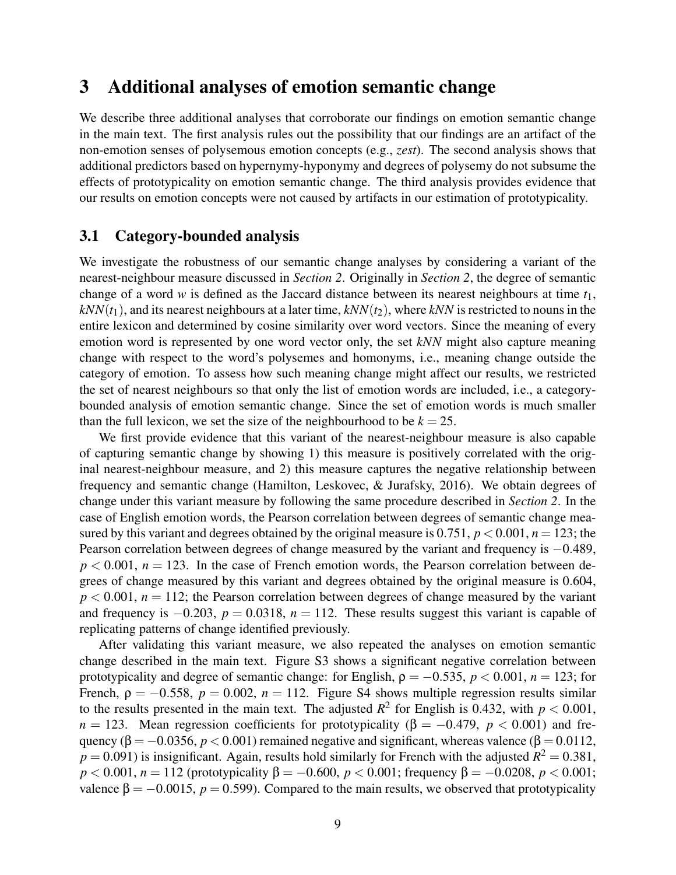## 3 Additional analyses of emotion semantic change

We describe three additional analyses that corroborate our findings on emotion semantic change in the main text. The first analysis rules out the possibility that our findings are an artifact of the non-emotion senses of polysemous emotion concepts (e.g., *zest*). The second analysis shows that additional predictors based on hypernymy-hyponymy and degrees of polysemy do not subsume the effects of prototypicality on emotion semantic change. The third analysis provides evidence that our results on emotion concepts were not caused by artifacts in our estimation of prototypicality.

#### 3.1 Category-bounded analysis

We investigate the robustness of our semantic change analyses by considering a variant of the nearest-neighbour measure discussed in *Section 2*. Originally in *Section 2*, the degree of semantic change of a word *w* is defined as the Jaccard distance between its nearest neighbours at time  $t_1$ ,  $kNN(t_1)$ , and its nearest neighbours at a later time,  $kNN(t_2)$ , where  $kNN$  is restricted to nouns in the entire lexicon and determined by cosine similarity over word vectors. Since the meaning of every emotion word is represented by one word vector only, the set *kNN* might also capture meaning change with respect to the word's polysemes and homonyms, i.e., meaning change outside the category of emotion. To assess how such meaning change might affect our results, we restricted the set of nearest neighbours so that only the list of emotion words are included, i.e., a categorybounded analysis of emotion semantic change. Since the set of emotion words is much smaller than the full lexicon, we set the size of the neighbourhood to be  $k = 25$ .

We first provide evidence that this variant of the nearest-neighbour measure is also capable of capturing semantic change by showing 1) this measure is positively correlated with the original nearest-neighbour measure, and 2) this measure captures the negative relationship between frequency and semantic change (Hamilton, Leskovec, & Jurafsky, 2016). We obtain degrees of change under this variant measure by following the same procedure described in *Section 2*. In the case of English emotion words, the Pearson correlation between degrees of semantic change measured by this variant and degrees obtained by the original measure is  $0.751$ ,  $p < 0.001$ ,  $n = 123$ ; the Pearson correlation between degrees of change measured by the variant and frequency is  $-0.489$ ,  $p < 0.001$ ,  $n = 123$ . In the case of French emotion words, the Pearson correlation between degrees of change measured by this variant and degrees obtained by the original measure is 0.604,  $p < 0.001$ ,  $n = 112$ ; the Pearson correlation between degrees of change measured by the variant and frequency is  $-0.203$ ,  $p = 0.0318$ ,  $n = 112$ . These results suggest this variant is capable of replicating patterns of change identified previously.

After validating this variant measure, we also repeated the analyses on emotion semantic change described in the main text. Figure S3 shows a significant negative correlation between prototypicality and degree of semantic change: for English,  $\rho = -0.535$ ,  $p < 0.001$ ,  $n = 123$ ; for French,  $\rho = -0.558$ ,  $p = 0.002$ ,  $n = 112$ . Figure S4 shows multiple regression results similar to the results presented in the main text. The adjusted  $R^2$  for English is 0.432, with  $p < 0.001$ ,  $n = 123$ . Mean regression coefficients for prototypicality ( $\beta = -0.479$ ,  $p < 0.001$ ) and frequency ( $\beta = -0.0356$ ,  $p < 0.001$ ) remained negative and significant, whereas valence ( $\beta = 0.0112$ ,  $p = 0.091$ ) is insignificant. Again, results hold similarly for French with the adjusted  $R^2 = 0.381$ , *p* < 0.001, *n* = 112 (prototypicality β = −0.600, *p* < 0.001; frequency β = −0.0208, *p* < 0.001; valence  $\beta = -0.0015$ ,  $p = 0.599$ ). Compared to the main results, we observed that prototypicality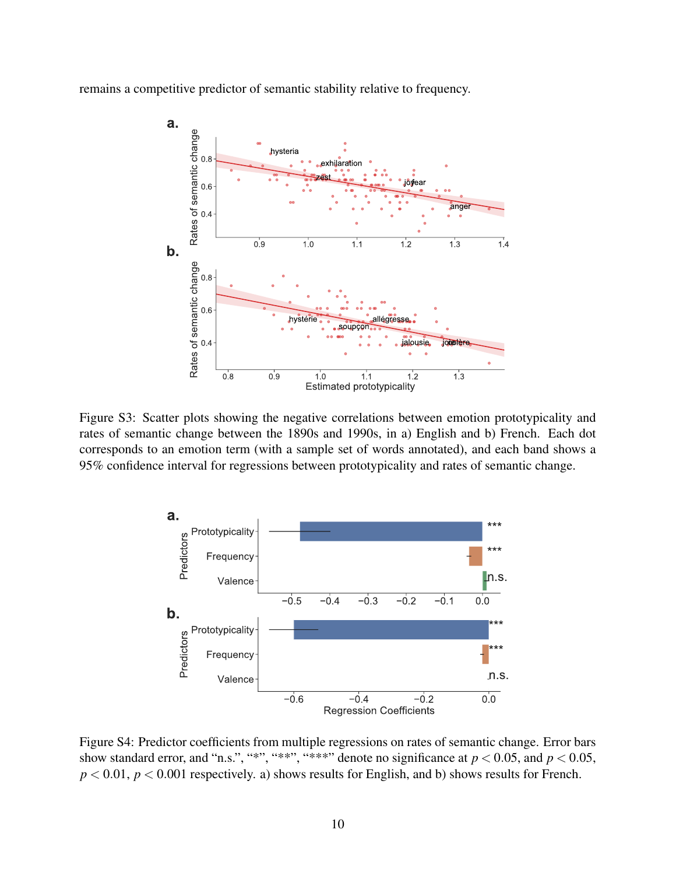remains a competitive predictor of semantic stability relative to frequency.



Figure S3: Scatter plots showing the negative correlations between emotion prototypicality and rates of semantic change between the 1890s and 1990s, in a) English and b) French. Each dot corresponds to an emotion term (with a sample set of words annotated), and each band shows a 95% confidence interval for regressions between prototypicality and rates of semantic change.



Figure S4: Predictor coefficients from multiple regressions on rates of semantic change. Error bars show standard error, and "n.s.", "\*\*", "\*\*\*", denote no significance at  $p < 0.05$ , and  $p < 0.05$ ,  $p < 0.01$ ,  $p < 0.001$  respectively. a) shows results for English, and b) shows results for French.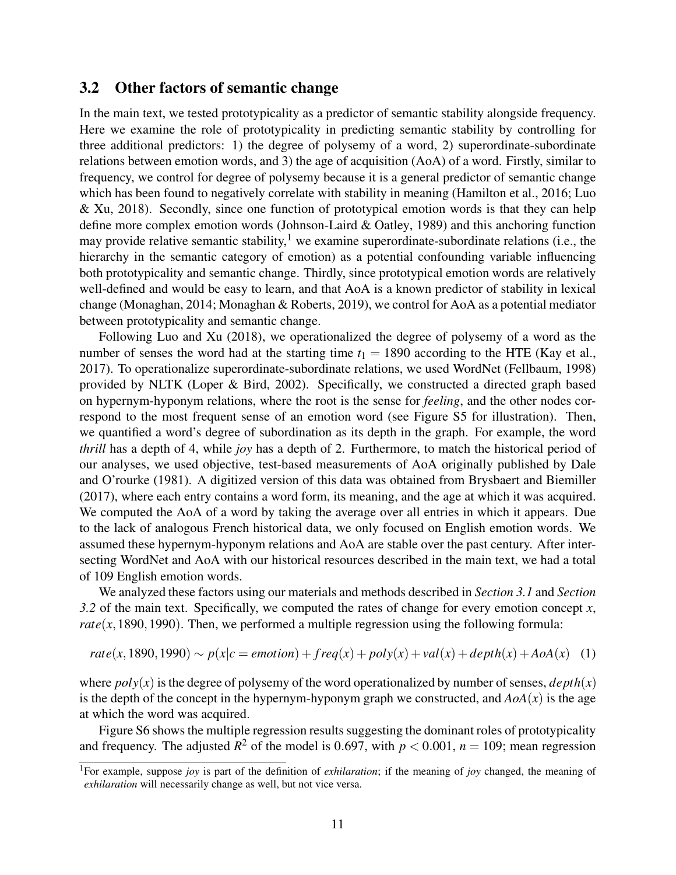#### 3.2 Other factors of semantic change

In the main text, we tested prototypicality as a predictor of semantic stability alongside frequency. Here we examine the role of prototypicality in predicting semantic stability by controlling for three additional predictors: 1) the degree of polysemy of a word, 2) superordinate-subordinate relations between emotion words, and 3) the age of acquisition (AoA) of a word. Firstly, similar to frequency, we control for degree of polysemy because it is a general predictor of semantic change which has been found to negatively correlate with stability in meaning (Hamilton et al., 2016; Luo & Xu, 2018). Secondly, since one function of prototypical emotion words is that they can help define more complex emotion words (Johnson-Laird & Oatley, 1989) and this anchoring function may provide relative semantic stability,<sup>1</sup> we examine superordinate-subordinate relations (i.e., the hierarchy in the semantic category of emotion) as a potential confounding variable influencing both prototypicality and semantic change. Thirdly, since prototypical emotion words are relatively well-defined and would be easy to learn, and that AoA is a known predictor of stability in lexical change (Monaghan, 2014; Monaghan & Roberts, 2019), we control for AoA as a potential mediator between prototypicality and semantic change.

Following Luo and Xu (2018), we operationalized the degree of polysemy of a word as the number of senses the word had at the starting time  $t_1 = 1890$  according to the HTE (Kay et al., 2017). To operationalize superordinate-subordinate relations, we used WordNet (Fellbaum, 1998) provided by NLTK (Loper & Bird, 2002). Specifically, we constructed a directed graph based on hypernym-hyponym relations, where the root is the sense for *feeling*, and the other nodes correspond to the most frequent sense of an emotion word (see Figure S5 for illustration). Then, we quantified a word's degree of subordination as its depth in the graph. For example, the word *thrill* has a depth of 4, while *joy* has a depth of 2. Furthermore, to match the historical period of our analyses, we used objective, test-based measurements of AoA originally published by Dale and O'rourke (1981). A digitized version of this data was obtained from Brysbaert and Biemiller (2017), where each entry contains a word form, its meaning, and the age at which it was acquired. We computed the AoA of a word by taking the average over all entries in which it appears. Due to the lack of analogous French historical data, we only focused on English emotion words. We assumed these hypernym-hyponym relations and AoA are stable over the past century. After intersecting WordNet and AoA with our historical resources described in the main text, we had a total of 109 English emotion words.

We analyzed these factors using our materials and methods described in *Section 3.1* and *Section 3.2* of the main text. Specifically, we computed the rates of change for every emotion concept *x*, *rate*( $x$ , 1890, 1990). Then, we performed a multiple regression using the following formula:

$$
rate(x, 1890, 1990) \sim p(x|c = emotion) + freq(x) + poly(x) + val(x) + depth(x) + AoA(x)
$$
 (1)

where  $poly(x)$  is the degree of polysemy of the word operationalized by number of senses,  $depth(x)$ is the depth of the concept in the hypernym-hyponym graph we constructed, and  $A \circ A(x)$  is the age at which the word was acquired.

Figure S6 shows the multiple regression results suggesting the dominant roles of prototypicality and frequency. The adjusted  $R^2$  of the model is 0.697, with  $p < 0.001$ ,  $n = 109$ ; mean regression

<sup>1</sup>For example, suppose *joy* is part of the definition of *exhilaration*; if the meaning of *joy* changed, the meaning of *exhilaration* will necessarily change as well, but not vice versa.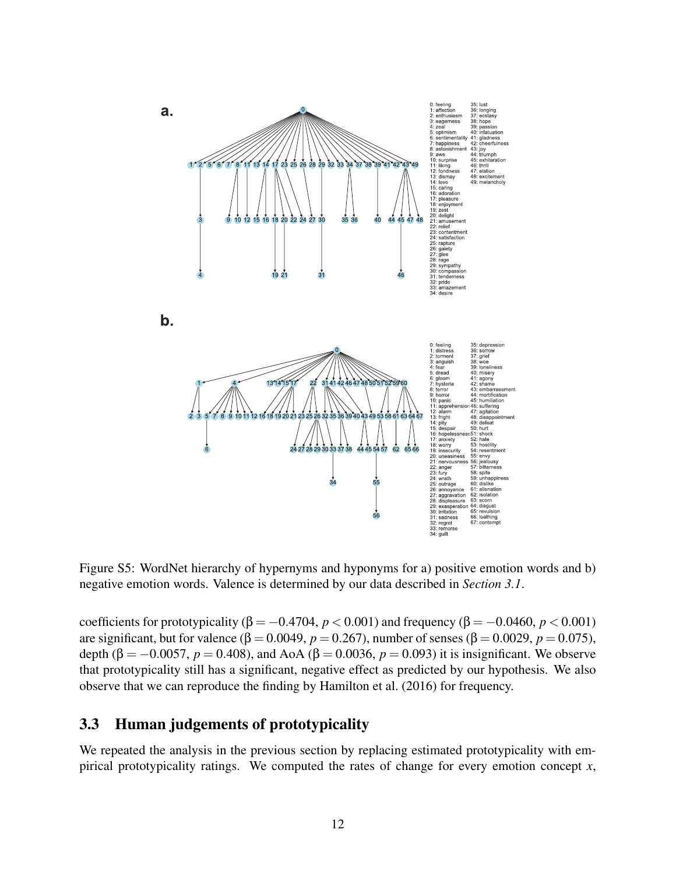

Figure S5: WordNet hierarchy of hypernyms and hyponyms for a) positive emotion words and b) negative emotion words. Valence is determined by our data described in *Section 3.1*.

coefficients for prototypicality ( $\beta = -0.4704$ ,  $p < 0.001$ ) and frequency ( $\beta = -0.0460$ ,  $p < 0.001$ ) are significant, but for valence (β = 0.0049, *p* = 0.267), number of senses (β = 0.0029, *p* = 0.075), depth (β = -0.0057,  $p = 0.408$ ), and AoA (β = 0.0036,  $p = 0.093$ ) it is insignificant. We observe that prototypicality still has a significant, negative effect as predicted by our hypothesis. We also observe that we can reproduce the finding by Hamilton et al. (2016) for frequency.

### 3.3 Human judgements of prototypicality

We repeated the analysis in the previous section by replacing estimated prototypicality with empirical prototypicality ratings. We computed the rates of change for every emotion concept *x*,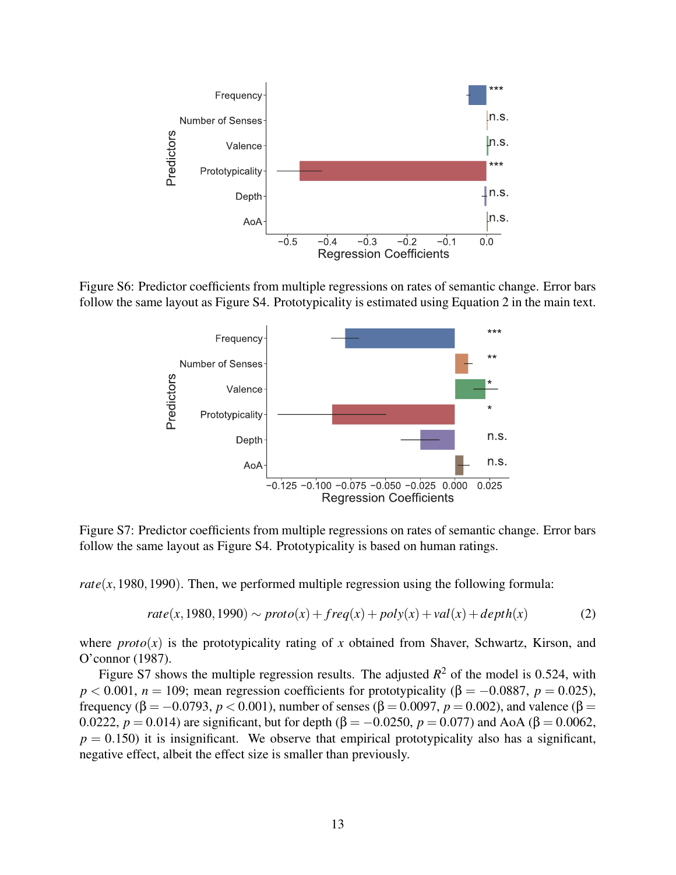

Figure S6: Predictor coefficients from multiple regressions on rates of semantic change. Error bars follow the same layout as Figure S4. Prototypicality is estimated using Equation 2 in the main text.



Figure S7: Predictor coefficients from multiple regressions on rates of semantic change. Error bars follow the same layout as Figure S4. Prototypicality is based on human ratings.

*rate*( $x$ , 1980, 1990). Then, we performed multiple regression using the following formula:

$$
rate(x, 1980, 1990) \sim proto(x) + freq(x) + poly(x) + val(x) + depth(x)
$$
\n
$$
(2)
$$

where  $proto(x)$  is the prototypicality rating of *x* obtained from Shaver, Schwartz, Kirson, and O'connor (1987).

Figure S7 shows the multiple regression results. The adjusted  $R^2$  of the model is 0.524, with  $p < 0.001$ ,  $n = 109$ ; mean regression coefficients for prototypicality ( $\beta = -0.0887$ ,  $p = 0.025$ ), frequency (β = -0.0793, *p* < 0.001), number of senses (β = 0.0097, *p* = 0.002), and valence (β = 0.0222,  $p = 0.014$ ) are significant, but for depth (β = -0.0250,  $p = 0.077$ ) and AoA (β = 0.0062,  $p = 0.150$ ) it is insignificant. We observe that empirical prototypicality also has a significant, negative effect, albeit the effect size is smaller than previously.